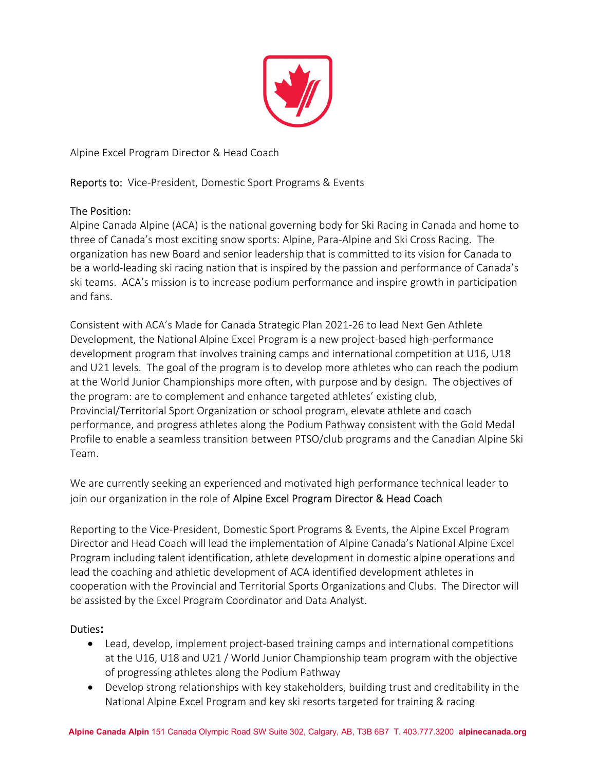

Alpine Excel Program Director & Head Coach

Reports to: Vice-President, Domestic Sport Programs & Events

# The Position:

Alpine Canada Alpine (ACA) is the national governing body for Ski Racing in Canada and home to three of Canada's most exciting snow sports: Alpine, Para-Alpine and Ski Cross Racing. The organization has new Board and senior leadership that is committed to its vision for Canada to be a world-leading ski racing nation that is inspired by the passion and performance of Canada's ski teams. ACA's mission is to increase podium performance and inspire growth in participation and fans.

Consistent with ACA's Made for Canada Strategic Plan 2021-26 to lead Next Gen Athlete Development, the National Alpine Excel Program is a new project-based high-performance development program that involves training camps and international competition at U16, U18 and U21 levels. The goal of the program is to develop more athletes who can reach the podium at the World Junior Championships more often, with purpose and by design. The objectives of the program: are to complement and enhance targeted athletes' existing club, Provincial/Territorial Sport Organization or school program, elevate athlete and coach performance, and progress athletes along the Podium Pathway consistent with the Gold Medal Profile to enable a seamless transition between PTSO/club programs and the Canadian Alpine Ski Team.

We are currently seeking an experienced and motivated high performance technical leader to join our organization in the role of Alpine Excel Program Director & Head Coach

Reporting to the Vice-President, Domestic Sport Programs & Events, the Alpine Excel Program Director and Head Coach will lead the implementation of Alpine Canada's National Alpine Excel Program including talent identification, athlete development in domestic alpine operations and lead the coaching and athletic development of ACA identified development athletes in cooperation with the Provincial and Territorial Sports Organizations and Clubs. The Director will be assisted by the Excel Program Coordinator and Data Analyst.

# Duties:

- Lead, develop, implement project-based training camps and international competitions at the U16, U18 and U21 / World Junior Championship team program with the objective of progressing athletes along the Podium Pathway
- Develop strong relationships with key stakeholders, building trust and creditability in the National Alpine Excel Program and key ski resorts targeted for training & racing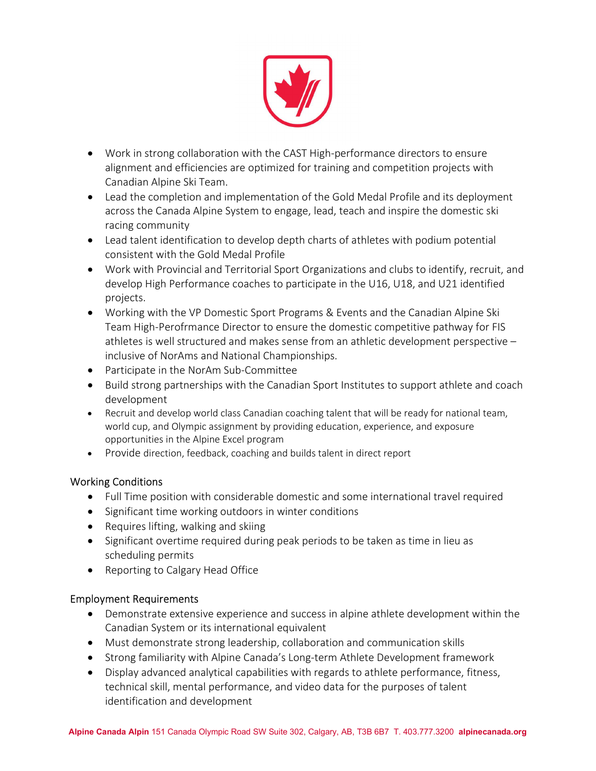

- Work in strong collaboration with the CAST High-performance directors to ensure alignment and efficiencies are optimized for training and competition projects with Canadian Alpine Ski Team.
- Lead the completion and implementation of the Gold Medal Profile and its deployment across the Canada Alpine System to engage, lead, teach and inspire the domestic ski racing community
- Lead talent identification to develop depth charts of athletes with podium potential consistent with the Gold Medal Profile
- Work with Provincial and Territorial Sport Organizations and clubs to identify, recruit, and develop High Performance coaches to participate in the U16, U18, and U21 identified projects.
- Working with the VP Domestic Sport Programs & Events and the Canadian Alpine Ski Team High-Perofrmance Director to ensure the domestic competitive pathway for FIS athletes is well structured and makes sense from an athletic development perspective – inclusive of NorAms and National Championships.
- Participate in the NorAm Sub-Committee
- Build strong partnerships with the Canadian Sport Institutes to support athlete and coach development
- Recruit and develop world class Canadian coaching talent that will be ready for national team, world cup, and Olympic assignment by providing education, experience, and exposure opportunities in the Alpine Excel program
- Provide direction, feedback, coaching and builds talent in direct report

# Working Conditions

- Full Time position with considerable domestic and some international travel required
- Significant time working outdoors in winter conditions
- Requires lifting, walking and skiing
- Significant overtime required during peak periods to be taken as time in lieu as scheduling permits
- Reporting to Calgary Head Office

# Employment Requirements

- Demonstrate extensive experience and success in alpine athlete development within the Canadian System or its international equivalent
- Must demonstrate strong leadership, collaboration and communication skills
- Strong familiarity with Alpine Canada's Long-term Athlete Development framework
- Display advanced analytical capabilities with regards to athlete performance, fitness, technical skill, mental performance, and video data for the purposes of talent identification and development